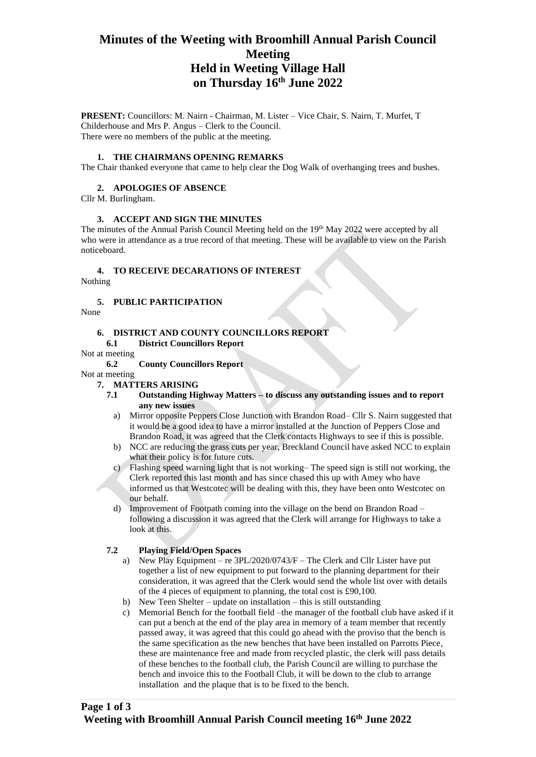## **Minutes of the Weeting with Broomhill Annual Parish Council Meeting Held in Weeting Village Hall on Thursday 16th June 2022**

**PRESENT:** Councillors: M. Nairn - Chairman, M. Lister – Vice Chair, S. Nairn, T. Murfet, T Childerhouse and Mrs P. Angus – Clerk to the Council. There were no members of the public at the meeting.

#### **1. THE CHAIRMANS OPENING REMARKS**

The Chair thanked everyone that came to help clear the Dog Walk of overhanging trees and bushes.

#### **2. APOLOGIES OF ABSENCE**

Cllr M. Burlingham.

#### **3. ACCEPT AND SIGN THE MINUTES**

The minutes of the Annual Parish Council Meeting held on the  $19<sup>th</sup>$  May 2022 were accepted by all who were in attendance as a true record of that meeting. These will be available to view on the Parish noticeboard.

#### **4. TO RECEIVE DECARATIONS OF INTEREST**

Nothing

## **5. PUBLIC PARTICIPATION**

None

## **6. DISTRICT AND COUNTY COUNCILLORS REPORT**

**6.1 District Councillors Report**

Not at meeting

## **6.2 County Councillors Report**

#### Not at meeting **7. MATTERS ARISING**

- **7.1 Outstanding Highway Matters – to discuss any outstanding issues and to report any new issues**
	- a) Mirror opposite Peppers Close Junction with Brandon Road– Cllr S. Nairn suggested that it would be a good idea to have a mirror installed at the Junction of Peppers Close and Brandon Road, it was agreed that the Clerk contacts Highways to see if this is possible.
	- b) NCC are reducing the grass cuts per year, Breckland Council have asked NCC to explain what their policy is for future cuts.
	- c) Flashing speed warning light that is not working– The speed sign is still not working, the Clerk reported this last month and has since chased this up with Amey who have informed us that Westcotec will be dealing with this, they have been onto Westcotec on our behalf.
	- d) Improvement of Footpath coming into the village on the bend on Brandon Road following a discussion it was agreed that the Clerk will arrange for Highways to take a look at this.

#### **7.2 Playing Field/Open Spaces**

- a) New Play Equipment re 3PL/2020/0743/F The Clerk and Cllr Lister have put together a list of new equipment to put forward to the planning department for their consideration, it was agreed that the Clerk would send the whole list over with details of the 4 pieces of equipment to planning, the total cost is £90,100.
- b) New Teen Shelter update on installation this is still outstanding
- c) Memorial Bench for the football field –the manager of the football club have asked if it can put a bench at the end of the play area in memory of a team member that recently passed away, it was agreed that this could go ahead with the proviso that the bench is the same specification as the new benches that have been installed on Parrotts Piece, these are maintenance free and made from recycled plastic, the clerk will pass details of these benches to the football club, the Parish Council are willing to purchase the bench and invoice this to the Football Club, it will be down to the club to arrange installation and the plaque that is to be fixed to the bench.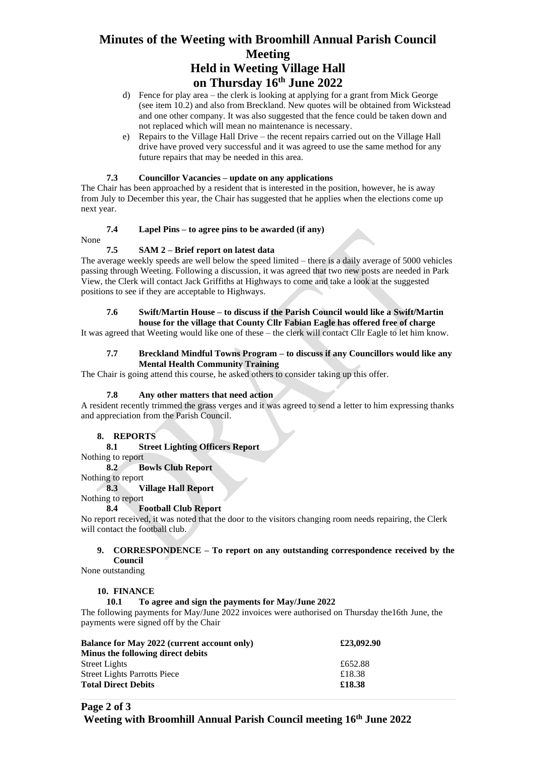# **Minutes of the Weeting with Broomhill Annual Parish Council Meeting Held in Weeting Village Hall**

# **on Thursday 16th June 2022**

- d) Fence for play area the clerk is looking at applying for a grant from Mick George (see item 10.2) and also from Breckland. New quotes will be obtained from Wickstead and one other company. It was also suggested that the fence could be taken down and not replaced which will mean no maintenance is necessary.
- e) Repairs to the Village Hall Drive the recent repairs carried out on the Village Hall drive have proved very successful and it was agreed to use the same method for any future repairs that may be needed in this area.

## **7.3 Councillor Vacancies – update on any applications**

The Chair has been approached by a resident that is interested in the position, however, he is away from July to December this year, the Chair has suggested that he applies when the elections come up next year.

## **7.4 Lapel Pins – to agree pins to be awarded (if any)**

None

## **7.5 SAM 2 – Brief report on latest data**

The average weekly speeds are well below the speed limited – there is a daily average of 5000 vehicles passing through Weeting. Following a discussion, it was agreed that two new posts are needed in Park View, the Clerk will contact Jack Griffiths at Highways to come and take a look at the suggested positions to see if they are acceptable to Highways.

#### **7.6 Swift/Martin House – to discuss if the Parish Council would like a Swift/Martin house for the village that County Cllr Fabian Eagle has offered free of charge**

It was agreed that Weeting would like one of these – the clerk will contact Cllr Eagle to let him know.

#### **7.7 Breckland Mindful Towns Program – to discuss if any Councillors would like any Mental Health Community Training**

The Chair is going attend this course, he asked others to consider taking up this offer.

## **7.8 Any other matters that need action**

A resident recently trimmed the grass verges and it was agreed to send a letter to him expressing thanks and appreciation from the Parish Council.

## **8. REPORTS**

## **8.1 Street Lighting Officers Report**

Nothing to report

## **8.2 Bowls Club Report**

Nothing to report

## **8.3 Village Hall Report**

Nothing to report

## **8.4 Football Club Report**

No report received, it was noted that the door to the visitors changing room needs repairing, the Clerk will contact the football club.

## **9. CORRESPONDENCE – To report on any outstanding correspondence received by the Council**

None outstanding

## **10. FINANCE**

## **10.1 To agree and sign the payments for May/June 2022**

The following payments for May/June 2022 invoices were authorised on Thursday the16th June, the payments were signed off by the Chair

| Balance for May 2022 (current account only) | £23,092.90 |  |
|---------------------------------------------|------------|--|
| Minus the following direct debits           |            |  |
| <b>Street Lights</b>                        | £652.88    |  |
| <b>Street Lights Parrotts Piece</b>         | £18.38     |  |
| <b>Total Direct Debits</b>                  | £18.38     |  |